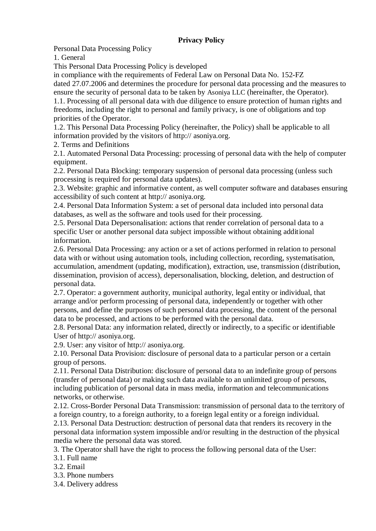## **Privacy Policy**

Personal Data Processing Policy

1. General

This Personal Data Processing Policy is developed

in compliance with the requirements of Federal Law on Personal Data No. 152-FZ

dated 27.07.2006 and determines the procedure for personal data processing and the measures to ensure the security of personal data to be taken by Asoniya LLC (hereinafter, the Operator).

1.1. Processing of all personal data with due diligence to ensure protection of human rights and freedoms, including the right to personal and family privacy, is one of obligations and top priorities of the Operator.

1.2. This Personal Data Processing Policy (hereinafter, the Policy) shall be applicable to all information provided by the visitors of http:// asoniya.org.

2. Terms and Definitions

2.1. Automated Personal Data Processing: processing of personal data with the help of computer equipment.

2.2. Personal Data Blocking: temporary suspension of personal data processing (unless such processing is required for personal data updates).

2.3. Website: graphic and informative content, as well computer software and databases ensuring accessibility of such content at http:// asoniya.org.

2.4. Personal Data Information System: a set of personal data included into personal data databases, as well as the software and tools used for their processing.

2.5. Personal Data Depersonalisation: actions that render correlation of personal data to a specific User or another personal data subject impossible without obtaining additional information.

2.6. Personal Data Processing: any action or a set of actions performed in relation to personal data with or without using automation tools, including collection, recording, systematisation, accumulation, amendment (updating, modification), extraction, use, transmission (distribution, dissemination, provision of access), depersonalisation, blocking, deletion, and destruction of personal data.

2.7. Operator: a government authority, municipal authority, legal entity or individual, that arrange and/or perform processing of personal data, independently or together with other persons, and define the purposes of such personal data processing, the content of the personal data to be processed, and actions to be performed with the personal data.

2.8. Personal Data: any information related, directly or indirectly, to a specific or identifiable User of http:// asoniya.org.

2.9. User: any visitor of http:// asoniya.org.

2.10. Personal Data Provision: disclosure of personal data to a particular person or a certain group of persons.

2.11. Personal Data Distribution: disclosure of personal data to an indefinite group of persons (transfer of personal data) or making such data available to an unlimited group of persons, including publication of personal data in mass media, information and telecommunications networks, or otherwise.

2.12. Cross-Border Personal Data Transmission: transmission of personal data to the territory of a foreign country, to a foreign authority, to a foreign legal entity or a foreign individual.

2.13. Personal Data Destruction: destruction of personal data that renders its recovery in the personal data information system impossible and/or resulting in the destruction of the physical media where the personal data was stored.

3. The Operator shall have the right to process the following personal data of the User:

3.1. Full name

- 3.2. Email
- 3.3. Phone numbers
- 3.4. Delivery address